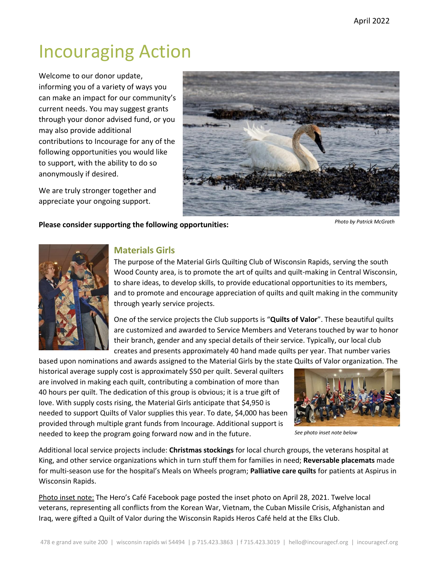# Incouraging Action

Welcome to our donor update, informing you of a variety of ways you can make an impact for our community's current needs. You may suggest grants through your donor advised fund, or you may also provide additional contributions to Incourage for any of the following opportunities you would like to support, with the ability to do so anonymously if desired.

We are truly stronger together and appreciate your ongoing support.



### **Please consider supporting the following opportunities:**

*Photo by Patrick McGrath*



# **Materials Girls**

The purpose of the Material Girls Quilting Club of Wisconsin Rapids, serving the south Wood County area, is to promote the art of quilts and quilt-making in Central Wisconsin, to share ideas, to develop skills, to provide educational opportunities to its members, and to promote and encourage appreciation of quilts and quilt making in the community through yearly service projects.

One of the service projects the Club supports is "**Quilts of Valor**". These beautiful quilts are customized and awarded to Service Members and Veterans touched by war to honor their branch, gender and any special details of their service. Typically, our local club creates and presents approximately 40 hand made quilts per year. That number varies

based upon nominations and awards assigned to the Material Girls by the state Quilts of Valor organization. The historical average supply cost is approximately \$50 per quilt. Several quilters are involved in making each quilt, contributing a combination of more than 40 hours per quilt. The dedication of this group is obvious; it is a true gift of love. With supply costs rising, the Material Girls anticipate that \$4,950 is needed to support Quilts of Valor supplies this year. To date, \$4,000 has been provided through multiple grant funds from Incourage. Additional support is needed to keep the program going forward now and in the future.



*See photo inset note below*

Additional local service projects include: **Christmas stockings** for local church groups, the veterans hospital at King, and other service organizations which in turn stuff them for families in need; **Reversable placemats** made for multi-season use for the hospital's Meals on Wheels program; **Palliative care quilts** for patients at Aspirus in Wisconsin Rapids.

Photo inset note: The Hero's Café Facebook page posted the inset photo on April 28, 2021. Twelve local veterans, representing all conflicts from the Korean War, Vietnam, the Cuban Missile Crisis, Afghanistan and Iraq, were gifted a Quilt of Valor during the Wisconsin Rapids Heros Café held at the Elks Club.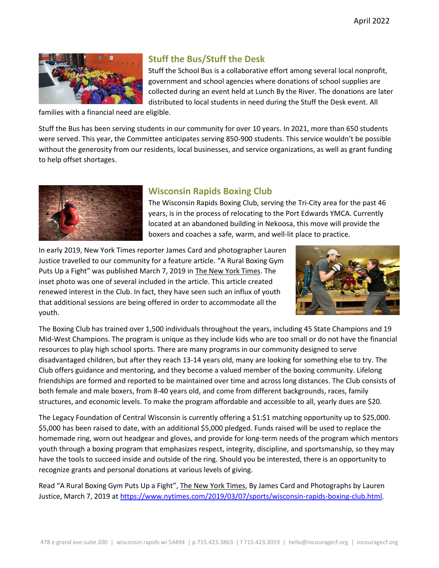

# **Stuff the Bus/Stuff the Desk**

Stuff the School Bus is a collaborative effort among several local nonprofit, government and school agencies where donations of school supplies are collected during an event held at Lunch By the River. The donations are later distributed to local students in need during the Stuff the Desk event. All

families with a financial need are eligible.

Stuff the Bus has been serving students in our community for over 10 years. In 2021, more than 650 students were served. This year, the Committee anticipates serving 850-900 students. This service wouldn't be possible without the generosity from our residents, local businesses, and service organizations, as well as grant funding to help offset shortages.



# **Wisconsin Rapids Boxing Club**

The Wisconsin Rapids Boxing Club, serving the Tri-City area for the past 46 years, is in the process of relocating to the Port Edwards YMCA. Currently located at an abandoned building in Nekoosa, this move will provide the boxers and coaches a safe, warm, and well-lit place to practice.

In early 2019, New York Times reporter James Card and photographer Lauren Justice travelled to our community for a feature article. "A Rural Boxing Gym Puts Up a Fight" was published March 7, 2019 in The New York Times. The inset photo was one of several included in the article. This article created renewed interest in the Club. In fact, they have seen such an influx of youth that additional sessions are being offered in order to accommodate all the youth.



The Boxing Club has trained over 1,500 individuals throughout the years, including 45 State Champions and 19 Mid-West Champions. The program is unique as they include kids who are too small or do not have the financial resources to play high school sports. There are many programs in our community designed to serve disadvantaged children, but after they reach 13-14 years old, many are looking for something else to try. The Club offers guidance and mentoring, and they become a valued member of the boxing community. Lifelong friendships are formed and reported to be maintained over time and across long distances. The Club consists of both female and male boxers, from 8-40 years old, and come from different backgrounds, races, family structures, and economic levels. To make the program affordable and accessible to all, yearly dues are \$20.

The Legacy Foundation of Central Wisconsin is currently offering a \$1:\$1 matching opportunity up to \$25,000. \$5,000 has been raised to date, with an additional \$5,000 pledged. Funds raised will be used to replace the homemade ring, worn out headgear and gloves, and provide for long-term needs of the program which mentors youth through a boxing program that emphasizes respect, integrity, discipline, and sportsmanship, so they may have the tools to succeed inside and outside of the ring. Should you be interested, there is an opportunity to recognize grants and personal donations at various levels of giving.

Read "A Rural Boxing Gym Puts Up a Fight", The New York Times, By James Card and Photographs by Lauren Justice, March 7, 2019 at [https://www.nytimes.com/2019/03/07/sports/wisconsin-rapids-boxing-club.html.](https://www.nytimes.com/2019/03/07/sports/wisconsin-rapids-boxing-club.html)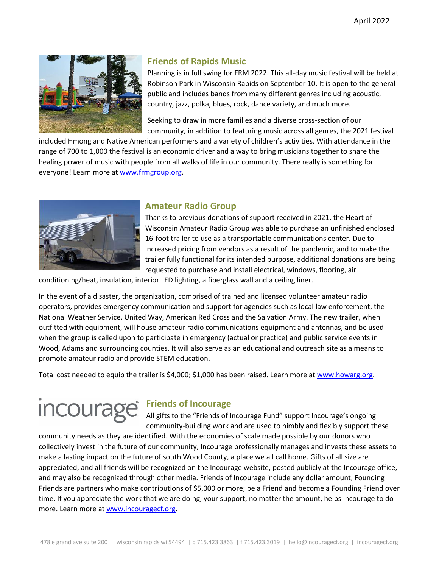

# **Friends of Rapids Music**

Planning is in full swing for FRM 2022. This all-day music festival will be held at Robinson Park in Wisconsin Rapids on September 10. It is open to the general public and includes bands from many different genres including acoustic, country, jazz, polka, blues, rock, dance variety, and much more.

Seeking to draw in more families and a diverse cross-section of our community, in addition to featuring music across all genres, the 2021 festival

included Hmong and Native American performers and a variety of children's activities. With attendance in the range of 700 to 1,000 the festival is an economic driver and a way to bring musicians together to share the healing power of music with people from all walks of life in our community. There really is something for everyone! Learn more at [www.frmgroup.org.](https://www.frmgroup.org/)



# **Amateur Radio Group**

Thanks to previous donations of support received in 2021, the Heart of Wisconsin Amateur Radio Group was able to purchase an unfinished enclosed 16-foot trailer to use as a transportable communications center. Due to increased pricing from vendors as a result of the pandemic, and to make the trailer fully functional for its intended purpose, additional donations are being requested to purchase and install electrical, windows, flooring, air

conditioning/heat, insulation, interior LED lighting, a fiberglass wall and a ceiling liner.

In the event of a disaster, the organization, comprised of trained and licensed volunteer amateur radio operators, provides emergency communication and support for agencies such as local law enforcement, the National Weather Service, United Way, American Red Cross and the Salvation Army. The new trailer, when outfitted with equipment, will house amateur radio communications equipment and antennas, and be used when the group is called upon to participate in emergency (actual or practice) and public service events in Wood, Adams and surrounding counties. It will also serve as an educational and outreach site as a means to promote amateur radio and provide STEM education.

Total cost needed to equip the trailer is \$4,000; \$1,000 has been raised. Learn more at [www.howarg.org.](http://www.howarg.org/)

# **Friends of Incourage**

All gifts to the "Friends of Incourage Fund" support Incourage's ongoing community-building work and are used to nimbly and flexibly support these

community needs as they are identified. With the economies of scale made possible by our donors who collectively invest in the future of our community, Incourage professionally manages and invests these assets to make a lasting impact on the future of south Wood County, a place we all call home. Gifts of all size are appreciated, and all friends will be recognized on the Incourage website, posted publicly at the Incourage office, and may also be recognized through other media. Friends of Incourage include any dollar amount, Founding Friends are partners who make contributions of \$5,000 or more; be a Friend and become a Founding Friend over time. If you appreciate the work that we are doing, your support, no matter the amount, helps Incourage to do more. Learn more a[t www.incouragecf.org.](http://www.incouragecf.org/)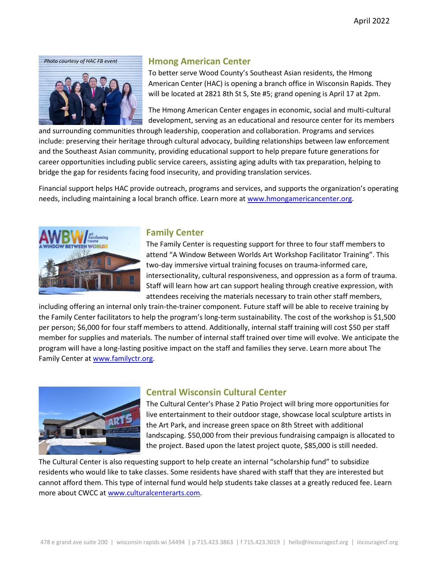

# **Hmong American Center**

To better serve Wood County's Southeast Asian residents, the Hmong American Center (HAC) is opening a branch office in Wisconsin Rapids. They will be located at 2821 8th St S, Ste #5; grand opening is April 17 at 2pm.

The Hmong American Center engages in economic, social and multi-cultural development, serving as an educational and resource center for its members

and surrounding communities through leadership, cooperation and collaboration. Programs and services include: preserving their heritage through cultural advocacy, building relationships between law enforcement and the Southeast Asian community, providing educational support to help prepare future generations for career opportunities including public service careers, assisting aging adults with tax preparation, helping to bridge the gap for residents facing food insecurity, and providing translation services.

Financial support helps HAC provide outreach, programs and services, and supports the organization's operating needs, including maintaining a local branch office. Learn more at [www.hmongamericancenter.org.](http://www.hmongamericancenter.org/)



### **Family Center**

The Family Center is requesting support for three to four staff members to attend "A Window Between Worlds Art Workshop Facilitator Training". This two-day immersive virtual training focuses on trauma-informed care, intersectionality, cultural responsiveness, and oppression as a form of trauma. Staff will learn how art can support healing through creative expression, with attendees receiving the materials necessary to train other staff members,

including offering an internal only train-the-trainer component. Future staff will be able to receive training by the Family Center facilitators to help the program's long-term sustainability. The cost of the workshop is \$1,500 per person; \$6,000 for four staff members to attend. Additionally, internal staff training will cost \$50 per staff member for supplies and materials. The number of internal staff trained over time will evolve. We anticipate the program will have a long-lasting positive impact on the staff and families they serve. Learn more about The Family Center a[t www.familyctr.org.](http://www.familyctr.org/)



# **Central Wisconsin Cultural Center**

The Cultural Center's Phase 2 Patio Project will bring more opportunities for live entertainment to their outdoor stage, showcase local sculpture artists in the Art Park, and increase green space on 8th Street with additional landscaping. \$50,000 from their previous fundraising campaign is allocated to the project. Based upon the latest project quote, \$85,000 is still needed.

The Cultural Center is also requesting support to help create an internal "scholarship fund" to subsidize residents who would like to take classes. Some residents have shared with staff that they are interested but cannot afford them. This type of internal fund would help students take classes at a greatly reduced fee. Learn more about CWCC at www.culturalcenterarts.com.